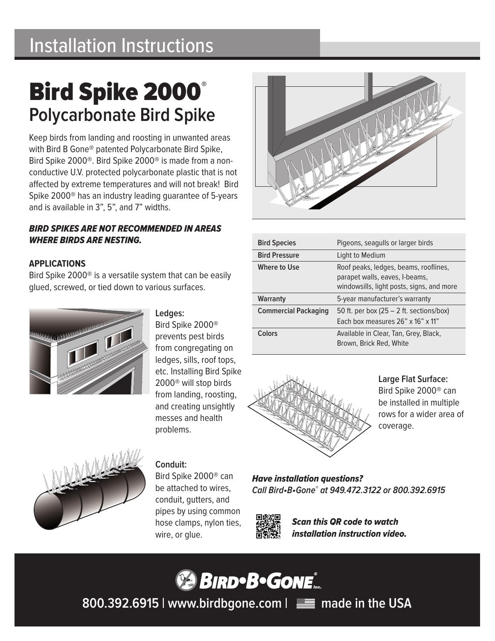## Installation Instructions

# Bird Spike 2000® **Polycarbonate Bird Spike**

Keep birds from landing and roosting in unwanted areas with Bird B Gone® patented Polycarbonate Bird Spike, Bird Spike 2000®. Bird Spike 2000® is made from a nonconductive U.V. protected polycarbonate plastic that is not affected by extreme temperatures and will not break! Bird Spike 2000® has an industry leading guarantee of 5-years and is available in 3", 5", and 7" widths.

#### *BIRD SPIKES ARE NOT RECOMMENDED IN AREAS WHERE BIRDS ARE NESTING.*

### **APPLICATIONS**

Bird Spike 2000® is a versatile system that can be easily glued, screwed, or tied down to various surfaces.



**Ledges:**

Bird Spike 2000® prevents pest birds from congregating on ledges, sills, roof tops, etc. Installing Bird Spike 2000® will stop birds from landing, roosting, and creating unsightly messes and health problems.



## **Conduit:**

Bird Spike 2000® can be attached to wires, conduit, gutters, and pipes by using common hose clamps, nylon ties, wire, or glue.



| <b>Bird Species</b>         | Pigeons, seagulls or larger birds                                                                                    |
|-----------------------------|----------------------------------------------------------------------------------------------------------------------|
| <b>Bird Pressure</b>        | Light to Medium                                                                                                      |
| <b>Where to Use</b>         | Roof peaks, ledges, beams, rooflines,<br>parapet walls, eaves, I-beams,<br>windowsills, light posts, signs, and more |
| Warranty                    | 5-year manufacturer's warranty                                                                                       |
| <b>Commercial Packaging</b> | 50 ft. per box $(25 – 2$ ft. sections/box)<br>Each box measures 26" x 16" x 11"                                      |
| Colors                      | Available in Clear, Tan, Grey, Black,<br>Brown, Brick Red, White                                                     |



#### **Large Flat Surface:**

Bird Spike 2000® can be installed in multiple rows for a wider area of coverage.

*Have installation questions? Call Bird•B•Gone® at 949.472.3122 or 800.392.6915*



*Scan this QR code to watch installation instruction video.*



**800.392.6915 | www.birdbgone.com | made in the USA**